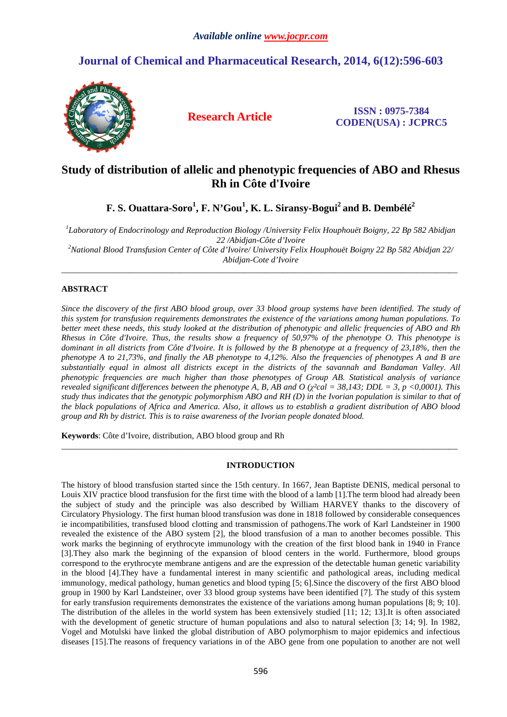# **Journal of Chemical and Pharmaceutical Research, 2014, 6(12):596-603**



**Research Article ISSN : 0975-7384 CODEN(USA) : JCPRC5**

# **Study of distribution of allelic and phenotypic frequencies of ABO and Rhesus Rh in Côte d'Ivoire**

**F. S. Ouattara-Soro<sup>1</sup> , F. N'Gou<sup>1</sup> , K. L. Siransy-Bogui<sup>2</sup>and B. Dembélé<sup>2</sup>**

*1 Laboratory of Endocrinology and Reproduction Biology /University Felix Houphouët Boigny, 22 Bp 582 Abidjan 22 /Abidjan-Côte d'Ivoire* 

*<sup>2</sup>National Blood Transfusion Center of Côte d'Ivoire/ University Felix Houphouët Boigny 22 Bp 582 Abidjan 22/ Abidjan-Cote d'Ivoire*  \_\_\_\_\_\_\_\_\_\_\_\_\_\_\_\_\_\_\_\_\_\_\_\_\_\_\_\_\_\_\_\_\_\_\_\_\_\_\_\_\_\_\_\_\_\_\_\_\_\_\_\_\_\_\_\_\_\_\_\_\_\_\_\_\_\_\_\_\_\_\_\_\_\_\_\_\_\_\_\_\_\_\_\_\_\_\_\_\_\_\_\_\_

## **ABSTRACT**

*Since the discovery of the first ABO blood group, over 33 blood group systems have been identified. The study of this system for transfusion requirements demonstrates the existence of the variations among human populations. To better meet these needs, this study looked at the distribution of phenotypic and allelic frequencies of ABO and Rh Rhesus in Côte d'Ivoire. Thus, the results show a frequency of 50,97% of the phenotype O. This phenotype is dominant in all districts from Côte d'Ivoire. It is followed by the B phenotype at a frequency of 23,18%, then the phenotype A to 21,73%, and finally the AB phenotype to 4,12%. Also the frequencies of phenotypes A and B are substantially equal in almost all districts except in the districts of the savannah and Bandaman Valley. All phenotypic frequencies are much higher than those phenotypes of Group AB. Statistical analysis of variance revealed significant differences between the phenotype A, B, AB and O (* $\gamma$ *<sup>2</sup>cal = 38,143; DDL = 3, p <0,0001). This study thus indicates that the genotypic polymorphism ABO and RH (D) in the Ivorian population is similar to that of the black populations of Africa and America. Also, it allows us to establish a gradient distribution of ABO blood group and Rh by district. This is to raise awareness of the Ivorian people donated blood.* 

**Keywords**: Côte d'Ivoire, distribution, ABO blood group and Rh

### **INTRODUCTION**

\_\_\_\_\_\_\_\_\_\_\_\_\_\_\_\_\_\_\_\_\_\_\_\_\_\_\_\_\_\_\_\_\_\_\_\_\_\_\_\_\_\_\_\_\_\_\_\_\_\_\_\_\_\_\_\_\_\_\_\_\_\_\_\_\_\_\_\_\_\_\_\_\_\_\_\_\_\_\_\_\_\_\_\_\_\_\_\_\_\_\_\_\_

The history of blood transfusion started since the 15th century. In 1667, Jean Baptiste DENIS, medical personal to Louis XIV practice blood transfusion for the first time with the blood of a lamb [1].The term blood had already been the subject of study and the principle was also described by William HARVEY thanks to the discovery of Circulatory Physiology. The first human blood transfusion was done in 1818 followed by considerable consequences ie incompatibilities, transfused blood clotting and transmission of pathogens.The work of Karl Landsteiner in 1900 revealed the existence of the ABO system [2], the blood transfusion of a man to another becomes possible. This work marks the beginning of erythrocyte immunology with the creation of the first blood bank in 1940 in France [3].They also mark the beginning of the expansion of blood centers in the world. Furthermore, blood groups correspond to the erythrocyte membrane antigens and are the expression of the detectable human genetic variability in the blood [4].They have a fundamental interest in many scientific and pathological areas, including medical immunology, medical pathology, human genetics and blood typing [5; 6].Since the discovery of the first ABO blood group in 1900 by Karl Landsteiner, over 33 blood group systems have been identified [7]. The study of this system for early transfusion requirements demonstrates the existence of the variations among human populations [8; 9; 10]. The distribution of the alleles in the world system has been extensively studied [11; 12; 13].It is often associated with the development of genetic structure of human populations and also to natural selection [3; 14; 9]. In 1982, Vogel and Motulski have linked the global distribution of ABO polymorphism to major epidemics and infectious diseases [15].The reasons of frequency variations in of the ABO gene from one population to another are not well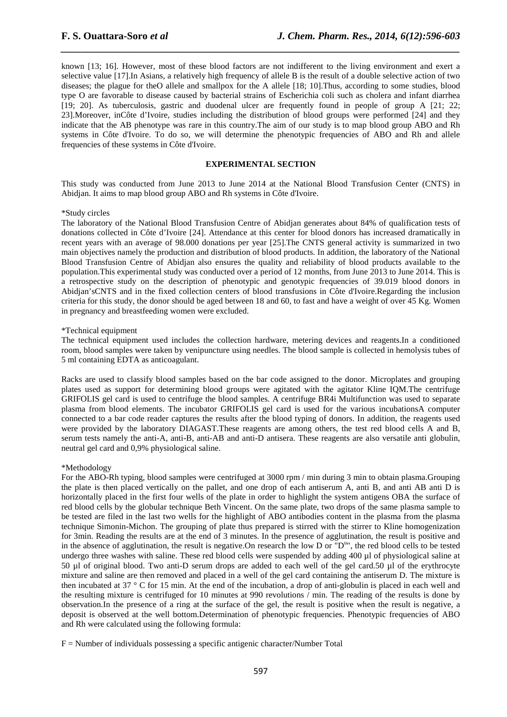known [13; 16]. However, most of these blood factors are not indifferent to the living environment and exert a selective value [17].In Asians, a relatively high frequency of allele B is the result of a double selective action of two diseases; the plague for theO allele and smallpox for the A allele [18; 10].Thus, according to some studies, blood type O are favorable to disease caused by bacterial strains of Escherichia coli such as cholera and infant diarrhea [19; 20]. As tuberculosis, gastric and duodenal ulcer are frequently found in people of group A [21; 22; 23].Moreover, inCôte d'Ivoire, studies including the distribution of blood groups were performed [24] and they indicate that the AB phenotype was rare in this country.The aim of our study is to map blood group ABO and Rh systems in Côte d'Ivoire. To do so, we will determine the phenotypic frequencies of ABO and Rh and allele frequencies of these systems in Côte d'Ivoire.

*\_\_\_\_\_\_\_\_\_\_\_\_\_\_\_\_\_\_\_\_\_\_\_\_\_\_\_\_\_\_\_\_\_\_\_\_\_\_\_\_\_\_\_\_\_\_\_\_\_\_\_\_\_\_\_\_\_\_\_\_\_\_\_\_\_\_\_\_\_\_\_\_\_\_\_\_\_\_*

#### **EXPERIMENTAL SECTION**

This study was conducted from June 2013 to June 2014 at the National Blood Transfusion Center (CNTS) in Abidjan. It aims to map blood group ABO and Rh systems in Côte d'Ivoire.

#### \*Study circles

The laboratory of the National Blood Transfusion Centre of Abidjan generates about 84% of qualification tests of donations collected in Côte d'Ivoire [24]. Attendance at this center for blood donors has increased dramatically in recent years with an average of 98.000 donations per year [25].The CNTS general activity is summarized in two main objectives namely the production and distribution of blood products. In addition, the laboratory of the National Blood Transfusion Centre of Abidjan also ensures the quality and reliability of blood products available to the population.This experimental study was conducted over a period of 12 months, from June 2013 to June 2014. This is a retrospective study on the description of phenotypic and genotypic frequencies of 39.019 blood donors in Abidjan'sCNTS and in the fixed collection centers of blood transfusions in Côte d'Ivoire.Regarding the inclusion criteria for this study, the donor should be aged between 18 and 60, to fast and have a weight of over 45 Kg. Women in pregnancy and breastfeeding women were excluded.

#### \*Technical equipment

The technical equipment used includes the collection hardware, metering devices and reagents.In a conditioned room, blood samples were taken by venipuncture using needles. The blood sample is collected in hemolysis tubes of 5 ml containing EDTA as anticoagulant.

Racks are used to classify blood samples based on the bar code assigned to the donor. Microplates and grouping plates used as support for determining blood groups were agitated with the agitator Kline IQM.The centrifuge GRIFOLIS gel card is used to centrifuge the blood samples. A centrifuge BR4i Multifunction was used to separate plasma from blood elements. The incubator GRIFOLIS gel card is used for the various incubationsA computer connected to a bar code reader captures the results after the blood typing of donors. In addition, the reagents used were provided by the laboratory DIAGAST.These reagents are among others, the test red blood cells A and B, serum tests namely the anti-A, anti-B, anti-AB and anti-D antisera. These reagents are also versatile anti globulin, neutral gel card and 0,9% physiological saline.

#### \*Methodology

For the ABO-Rh typing, blood samples were centrifuged at 3000 rpm / min during 3 min to obtain plasma.Grouping the plate is then placed vertically on the pallet, and one drop of each antiserum A, anti B, and anti AB anti D is horizontally placed in the first four wells of the plate in order to highlight the system antigens OBA the surface of red blood cells by the globular technique Beth Vincent. On the same plate, two drops of the same plasma sample to be tested are filed in the last two wells for the highlight of ABO antibodies content in the plasma from the plasma technique Simonin-Michon. The grouping of plate thus prepared is stirred with the stirrer to Kline homogenization for 3min. Reading the results are at the end of 3 minutes. In the presence of agglutination, the result is positive and in the absence of agglutination, the result is negative. On research the low D or  $"D^{\text{u}}$ ", the red blood cells to be tested undergo three washes with saline. These red blood cells were suspended by adding 400 µl of physiological saline at 50 µl of original blood. Two anti-D serum drops are added to each well of the gel card.50 µl of the erythrocyte mixture and saline are then removed and placed in a well of the gel card containing the antiserum D. The mixture is then incubated at 37 ° C for 15 min. At the end of the incubation, a drop of anti-globulin is placed in each well and the resulting mixture is centrifuged for 10 minutes at 990 revolutions / min. The reading of the results is done by observation.In the presence of a ring at the surface of the gel, the result is positive when the result is negative, a deposit is observed at the well bottom.Determination of phenotypic frequencies. Phenotypic frequencies of ABO and Rh were calculated using the following formula:

 $F =$  Number of individuals possessing a specific antigenic character/Number Total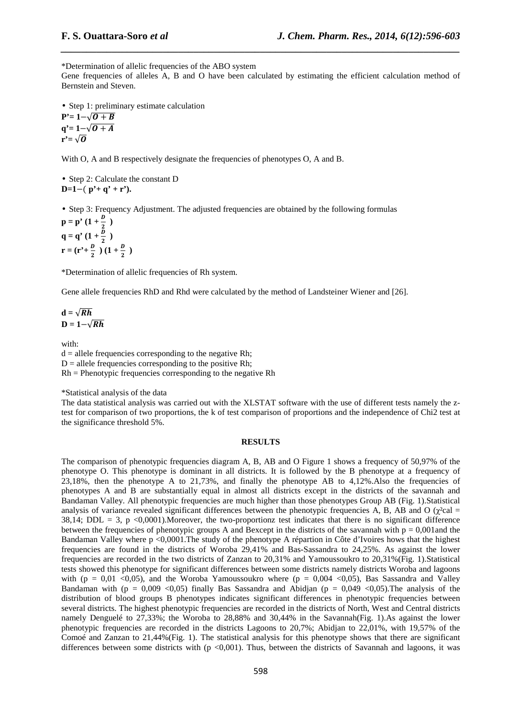\*Determination of allelic frequencies of the ABO system

Gene frequencies of alleles A, B and O have been calculated by estimating the efficient calculation method of Bernstein and Steven.

*\_\_\_\_\_\_\_\_\_\_\_\_\_\_\_\_\_\_\_\_\_\_\_\_\_\_\_\_\_\_\_\_\_\_\_\_\_\_\_\_\_\_\_\_\_\_\_\_\_\_\_\_\_\_\_\_\_\_\_\_\_\_\_\_\_\_\_\_\_\_\_\_\_\_\_\_\_\_*

• Step 1: preliminary estimate calculation  $P'= 1-\sqrt{O+B}$  $q' = 1 - \sqrt{0 + A}$  $\mathbf{r}^{\prime}=\sqrt{\mathbf{0}}$ 

With O, A and B respectively designate the frequencies of phenotypes O, A and B.

• Step 2: Calculate the constant D **D=1**−( **p'+ q' + r').** 

• Step 3: Frequency Adjustment. The adjusted frequencies are obtained by the following formulas

 $p = p' (1 + \frac{p}{2})$ **q** = **q**' (1 +  $\frac{2}{2}$ )  $\mathbf{r} = (\mathbf{r'} + \frac{D}{2})(1 + \frac{D}{2})$ 

\*Determination of allelic frequencies of Rh system.

Gene allele frequencies RhD and Rhd were calculated by the method of Landsteiner Wiener and [26].

$$
\mathbf{d} = \sqrt{Rh}
$$

$$
\mathbf{D} = \mathbf{1} - \sqrt{Rh}
$$

with:

 $d =$  allele frequencies corresponding to the negative Rh;  $D =$  allele frequencies corresponding to the positive Rh; Rh = Phenotypic frequencies corresponding to the negative Rh

\*Statistical analysis of the data

The data statistical analysis was carried out with the XLSTAT software with the use of different tests namely the ztest for comparison of two proportions, the k of test comparison of proportions and the independence of Chi2 test at the significance threshold 5%.

#### **RESULTS**

The comparison of phenotypic frequencies diagram A, B, AB and O Figure 1 shows a frequency of 50,97% of the phenotype O. This phenotype is dominant in all districts. It is followed by the B phenotype at a frequency of 23,18%, then the phenotype A to 21,73%, and finally the phenotype AB to 4,12%.Also the frequencies of phenotypes A and B are substantially equal in almost all districts except in the districts of the savannah and Bandaman Valley. All phenotypic frequencies are much higher than those phenotypes Group AB (Fig. 1).Statistical analysis of variance revealed significant differences between the phenotypic frequencies A, B, AB and O ( $\chi^2$ cal = 38,14; DDL = 3, p <0,0001). Moreover, the two-proportionz test indicates that there is no significant difference between the frequencies of phenotypic groups A and Bexcept in the districts of the savannah with  $p = 0.001$  and the Bandaman Valley where p <0,0001.The study of the phenotype A répartion in Côte d'Ivoires hows that the highest frequencies are found in the districts of Woroba 29,41% and Bas-Sassandra to 24,25%. As against the lower frequencies are recorded in the two districts of Zanzan to 20,31% and Yamoussoukro to 20,31%(Fig. 1).Statistical tests showed this phenotype for significant differences between some districts namely districts Woroba and lagoons with (p = 0,01 <0,05), and the Woroba Yamoussoukro where (p = 0,004 <0,05), Bas Sassandra and Valley Bandaman with (p = 0,009 <0,05) finally Bas Sassandra and Abidjan (p = 0,049 <0,05). The analysis of the distribution of blood groups B phenotypes indicates significant differences in phenotypic frequencies between several districts. The highest phenotypic frequencies are recorded in the districts of North, West and Central districts namely Denguelé to 27,33%; the Woroba to 28,88% and 30,44% in the Savannah(Fig. 1).As against the lower phenotypic frequencies are recorded in the districts Lagoons to 20,7%; Abidjan to 22,01%, with 19,57% of the Comoé and Zanzan to 21,44%(Fig. 1). The statistical analysis for this phenotype shows that there are significant differences between some districts with (p  $\langle 0,001 \rangle$ ). Thus, between the districts of Savannah and lagoons, it was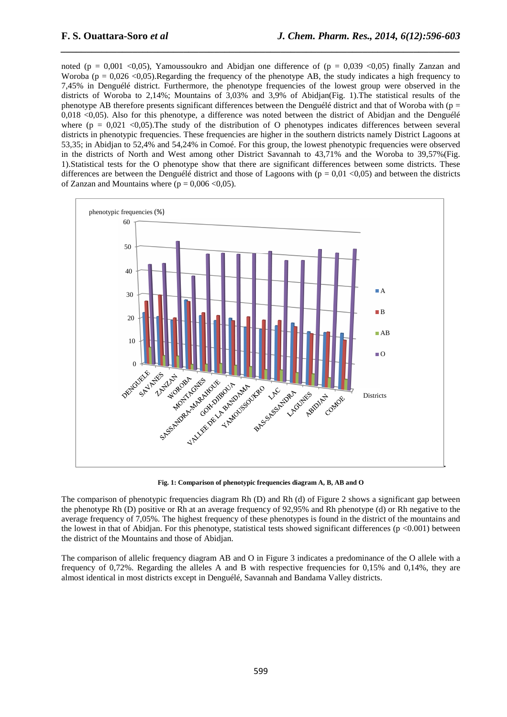noted (p = 0,001 <0,05), Yamoussoukro and Abidjan one difference of (p = 0,039 <0,05) finally Zanzan and Woroba ( $p = 0.026$  <0.05). Regarding the frequency of the phenotype AB, the study indicates a high frequency to 7,45% in Denguélé district. Furthermore, the phenotype frequencies of the lowest group were observed in the districts of Woroba to 2,14%; Mountains of 3,03% and 3,9% of Abidjan(Fig. 1).The statistical results of the phenotype AB therefore presents significant differences between the Denguélé district and that of Woroba with ( $p =$ 0,018 <0,05). Also for this phenotype, a difference was noted between the district of Abidjan and the Denguélé where ( $p = 0.021$  <0.05). The study of the distribution of O phenotypes indicates differences between several districts in phenotypic frequencies. These frequencies are higher in the southern districts namely District Lagoons at 53,35; in Abidjan to 52,4% and 54,24% in Comoé. For this group, the lowest phenotypic frequencies were observed in the districts of North and West among other District Savannah to 43,71% and the Woroba to 39,57%(Fig. 1).Statistical tests for the O phenotype show that there are significant differences between some districts. These differences are between the Denguélé district and those of Lagoons with ( $p = 0.01$  <0.05) and between the districts of Zanzan and Mountains where ( $p = 0.006 \le 0.05$ ).

*\_\_\_\_\_\_\_\_\_\_\_\_\_\_\_\_\_\_\_\_\_\_\_\_\_\_\_\_\_\_\_\_\_\_\_\_\_\_\_\_\_\_\_\_\_\_\_\_\_\_\_\_\_\_\_\_\_\_\_\_\_\_\_\_\_\_\_\_\_\_\_\_\_\_\_\_\_\_*



**Fig. 1: Comparison of phenotypic frequencies diagram A, B, AB and O** 

The comparison of phenotypic frequencies diagram Rh (D) and Rh (d) of Figure 2 shows a significant gap between the phenotype Rh (D) positive or Rh at an average frequency of 92,95% and Rh phenotype (d) or Rh negative to the average frequency of 7,05%. The highest frequency of these phenotypes is found in the district of the mountains and the lowest in that of Abidjan. For this phenotype, statistical tests showed significant differences (p <0.001) between the district of the Mountains and those of Abidjan.

The comparison of allelic frequency diagram AB and O in Figure 3 indicates a predominance of the O allele with a frequency of 0,72%. Regarding the alleles A and B with respective frequencies for 0,15% and 0,14%, they are almost identical in most districts except in Denguélé, Savannah and Bandama Valley districts.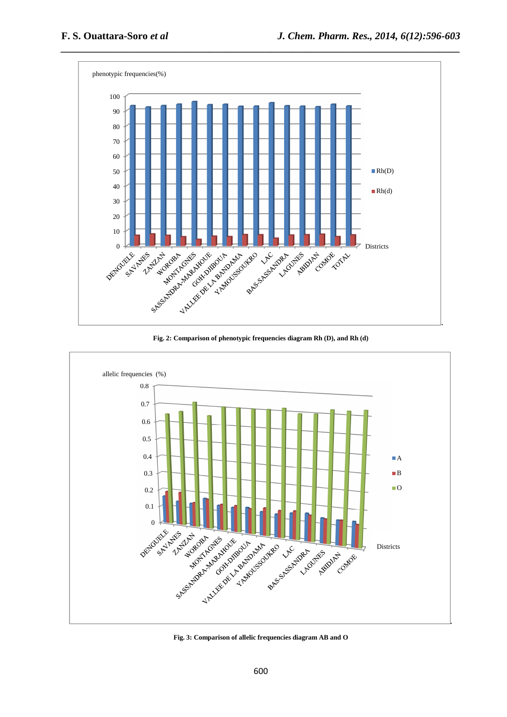

**Fig. 2: Comparison of phenotypic frequencies diagram Rh (D), and Rh (d)** 



**Fig. 3: Comparison of allelic frequencies diagram AB and O**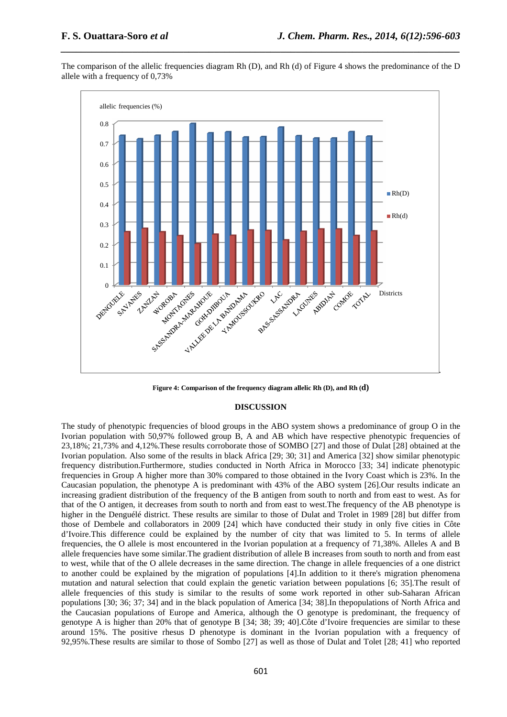

*\_\_\_\_\_\_\_\_\_\_\_\_\_\_\_\_\_\_\_\_\_\_\_\_\_\_\_\_\_\_\_\_\_\_\_\_\_\_\_\_\_\_\_\_\_\_\_\_\_\_\_\_\_\_\_\_\_\_\_\_\_\_\_\_\_\_\_\_\_\_\_\_\_\_\_\_\_\_*



**Figure 4: Comparison of the frequency diagram allelic Rh (D), and Rh (d)** 

#### **DISCUSSION**

The study of phenotypic frequencies of blood groups in the ABO system shows a predominance of group O in the Ivorian population with 50,97% followed group B, A and AB which have respective phenotypic frequencies of 23,18%; 21,73% and 4,12%.These results corroborate those of SOMBO [27] and those of Dulat [28] obtained at the Ivorian population. Also some of the results in black Africa [29; 30; 31] and America [32] show similar phenotypic frequency distribution.Furthermore, studies conducted in North Africa in Morocco [33; 34] indicate phenotypic frequencies in Group A higher more than 30% compared to those obtained in the Ivory Coast which is 23%. In the Caucasian population, the phenotype A is predominant with 43% of the ABO system [26].Our results indicate an increasing gradient distribution of the frequency of the B antigen from south to north and from east to west. As for that of the O antigen, it decreases from south to north and from east to west.The frequency of the AB phenotype is higher in the Denguélé district. These results are similar to those of Dulat and Trolet in 1989 [28] but differ from those of Dembele and collaborators in 2009 [24] which have conducted their study in only five cities in Côte d'Ivoire.This difference could be explained by the number of city that was limited to 5. In terms of allele frequencies, the O allele is most encountered in the Ivorian population at a frequency of 71,38%. Alleles A and B allele frequencies have some similar.The gradient distribution of allele B increases from south to north and from east to west, while that of the O allele decreases in the same direction. The change in allele frequencies of a one district to another could be explained by the migration of populations [4].In addition to it there's migration phenomena mutation and natural selection that could explain the genetic variation between populations [6; 35].The result of allele frequencies of this study is similar to the results of some work reported in other sub-Saharan African populations [30; 36; 37; 34] and in the black population of America [34; 38].In thepopulations of North Africa and the Caucasian populations of Europe and America, although the O genotype is predominant, the frequency of genotype A is higher than 20% that of genotype B [34; 38; 39; 40].Côte d'Ivoire frequencies are similar to these around 15%. The positive rhesus D phenotype is dominant in the Ivorian population with a frequency of 92,95%.These results are similar to those of Sombo [27] as well as those of Dulat and Tolet [28; 41] who reported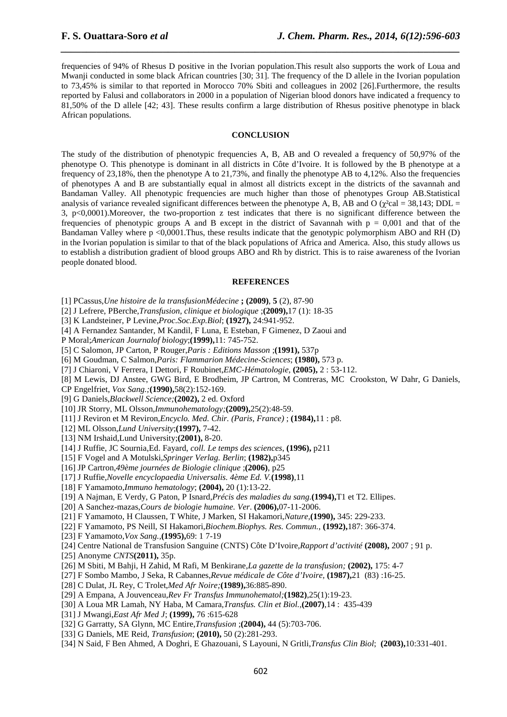frequencies of 94% of Rhesus D positive in the Ivorian population.This result also supports the work of Loua and Mwanji conducted in some black African countries [30; 31]. The frequency of the D allele in the Ivorian population to 73,45% is similar to that reported in Morocco 70% Sbiti and colleagues in 2002 [26].Furthermore, the results reported by Falusi and collaborators in 2000 in a population of Nigerian blood donors have indicated a frequency to 81,50% of the D allele [42; 43]. These results confirm a large distribution of Rhesus positive phenotype in black African populations.

*\_\_\_\_\_\_\_\_\_\_\_\_\_\_\_\_\_\_\_\_\_\_\_\_\_\_\_\_\_\_\_\_\_\_\_\_\_\_\_\_\_\_\_\_\_\_\_\_\_\_\_\_\_\_\_\_\_\_\_\_\_\_\_\_\_\_\_\_\_\_\_\_\_\_\_\_\_\_*

### **CONCLUSION**

The study of the distribution of phenotypic frequencies A, B, AB and O revealed a frequency of 50,97% of the phenotype O. This phenotype is dominant in all districts in Côte d'Ivoire. It is followed by the B phenotype at a frequency of 23,18%, then the phenotype A to 21,73%, and finally the phenotype AB to 4,12%. Also the frequencies of phenotypes A and B are substantially equal in almost all districts except in the districts of the savannah and Bandaman Valley. All phenotypic frequencies are much higher than those of phenotypes Group AB.Statistical analysis of variance revealed significant differences between the phenotype A, B, AB and O ( $\gamma^2$ cal = 38,143; DDL = 3, p<0,0001).Moreover, the two-proportion z test indicates that there is no significant difference between the frequencies of phenotypic groups A and B except in the district of Savannah with  $p = 0.001$  and that of the Bandaman Valley where p <0,0001.Thus, these results indicate that the genotypic polymorphism ABO and RH (D) in the Ivorian population is similar to that of the black populations of Africa and America. Also, this study allows us to establish a distribution gradient of blood groups ABO and Rh by district. This is to raise awareness of the Ivorian people donated blood.

#### **REFERENCES**

- [1] PCassus,*Une histoire de la transfusionMédecine* **; (2009)**, **5** (2), 87-90
- [2] J Lefrere, PBerche,*Transfusion, clinique et biologique* ;**(2009),**17 (1): 18-35
- [3] K Landsteiner, P Levine,*Proc.Soc.Exp.Biol*; **(1927),** 24:941-952.
- [4] A Fernandez Santander, M Kandil, F Luna, E Esteban, F Gimenez, D Zaoui and
- P Moral;*American Journalof biology*;**(1999),**11: 745-752.
- [5] C Salomon, JP Carton, P Rouger,*Paris : Editions Masson* ;**(1991),** 537p
- [6] M Goudman, C Salmon,*Paris: Flammarion Médecine-Sciences*; **(1980),** 573 p.
- [7] J Chiaroni, V Ferrera, I Dettori, F Roubinet,*EMC-Hématologie*, **(2005),** 2 : 53-112.
- [8] M Lewis, DJ Anstee, GWG Bird, E Brodheim, JP Cartron, M Contreras, MC Crookston, W Dahr, G Daniels,

CP Engelfriet, *Vox Sang.;***(1990),**58(2):152-169.

[9] G Daniels,*Blackwell Science;***(2002),** 2 ed. Oxford

- [10] JR Storry, ML Olsson,*Immunohematology;***(2009),**25(2):48-59.
- [11] J Reviron et M Reviron,*Encyclo. Med. Chir. (Paris, France)* ; **(1984),**11 : p8.

[12] ML Olsson,*Lund University*;**(1997),** 7-42.

- [13] NM Irshaid,Lund University;**(2001),** 8-20.
- [14] J Ruffie, JC Sournia,Ed. Fayard, *coll. Le temps des sciences*, **(1996),** p211
- [15] F Vogel and A Motulski,*Springer Verlag. Berlin*; **(1982),**p345
- [16] JP Cartron,*49ème journées de Biologie clinique* ;**(2006)**, p25
- [17] J Ruffie,*Novelle encyclopaedia Universalis. 4ème Ed. V.***(1998)**,11
- [18] F Yamamoto,*Immuno hematology*; **(2004),** 20 (1):13-22.
- [19] A Najman, E Verdy, G Paton, P Isnard,*Précis des maladies du sang.***(1994),**T1 et T2. Ellipes.
- [20] A Sanchez-mazas,*Cours de biologie humaine. Ver*. **(2006),**07-11-2006.
- [21] F Yamamoto, H Claussen, T White, J Marken, SI Hakamori,*Nature,***(1990),** 345: 229-233.
- [22] F Yamamoto, PS Neill, SI Hakamori,*Biochem.Biophys. Res. Commun.*, **(1992),**187: 366-374.
- [23] F Yamamoto,*Vox Sang.,***(1995),**69: 1 7-19
- [24] Centre National de Transfusion Sanguine (CNTS) Côte D'Ivoire,*Rapport d'activité* **(2008),** 2007 ; 91 p.
- [25] Anonyme *CNTS***(2011),** 35p.
- [26] M Sbiti, M Bahji, H Zahid, M Rafi, M Benkirane,*La gazette de la transfusion;* **(2002),** 175: 4-7
- [27] F Sombo Mambo, J Seka, R Cabannes,*Revue médicale de Côte d'Ivoire,* **(1987),**21 (83) :16-25.
- [28] C Dulat, JL Rey, C Trolet,*Med Afr Noire;***(1989),**36:885-890.
- [29] A Empana, A Jouvenceau,*Rev Fr Transfus Immunohematol;***(1982)**,25(1):19-23.
- [30] A Loua MR Lamah, NY Haba, M Camara,*Transfus. Clin et Biol.,***(2007)**,14 : 435-439
- [31] J Mwangi,*East Afr Med J*; **(1999),** 76 :615-628
- [32] G Garratty, SA Glynn, MC Entire,*Transfusion* ;**(2004),** 44 (5):703-706.
- [33] G Daniels, ME Reid, *Transfusion*; **(2010),** 50 (2):281-293.
- [34] N Said, F Ben Ahmed, A Doghri, E Ghazouani, S Layouni, N Gritli,*Transfus Clin Biol*; **(2003),**10:331-401.